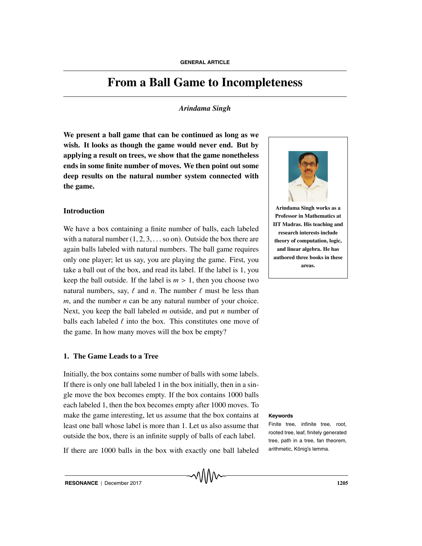# **From a Ball Game to Incompleteness**

# *Arindama Singh*

**We present a ball game that can be continued as long as we wish. It looks as though the game would never end. But by applying a result on trees, we show that the game nonetheless ends in some finite number of moves. We then point out some deep results on the natural number system connected with the game.**

# **Introduction**

We have a box containing a finite number of balls, each labeled with a natural number  $(1, 2, 3, \ldots$  so on). Outside the box there are again balls labeled with natural numbers. The ball game requires only one player; let us say, you are playing the game. First, you take a ball out of the box, and read its label. If the label is 1, you keep the ball outside. If the label is  $m > 1$ , then you choose two natural numbers, say,  $\ell$  and *n*. The number  $\ell$  must be less than *m*, and the number *n* can be any natural number of your choice. Next, you keep the ball labeled *m* outside, and put *n* number of balls each labeled  $\ell$  into the box. This constitutes one move of the game. In how many moves will the box be empty?

# **1. The Game Leads to a Tree**

Initially, the box contains some number of balls with some labels. If there is only one ball labeled 1 in the box initially, then in a single move the box becomes empty. If the box contains 1000 balls each labeled 1, then the box becomes empty after 1000 moves. To make the game interesting, let us assume that the box contains at **Keywords** least one ball whose label is more than 1. Let us also assume that outside the box, there is an infinite supply of balls of each label.

If there are 1000 balls in the box with exactly one ball labeled



**Arindama Singh works as a Professor in Mathematics at IIT Madras. His teaching and research interests include theory of computation, logic, and linear algebra. He has authored three books in these areas.**

Finite tree, infinite tree, root, rooted tree, leaf, finitely generated tree, path in a tree, fan theorem, arithmetic, König's lemma.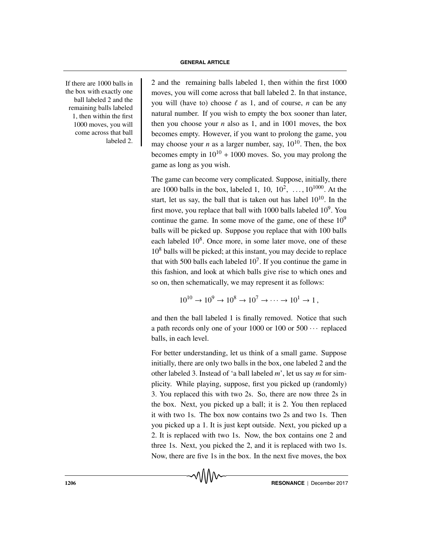If there are  $1000$  balls in the box with exactly one ball labeled 2 and the remaining balls labeled 1, then within the first 1000 moves, you will come across that ball labeled 2.

2 and the remaining balls labeled 1, then within the first  $1000$ moves, you will come across that ball labeled 2. In that instance, you will (have to) choose  $\ell$  as 1, and of course, *n* can be any natural number. If you wish to empty the box sooner than later, then you choose your  $n$  also as 1, and in 1001 moves, the box becomes empty. However, if you want to prolong the game, you may choose your *n* as a larger number, say,  $10^{10}$ . Then, the box becomes empty in  $10^{10} + 1000$  moves. So, you may prolong the game as long as you wish.

The game can become very complicated. Suppose, initially, there are 1000 balls in the box, labeled 1, 10,  $10^2$ , ...,  $10^{1000}$ . At the start, let us say, the ball that is taken out has label  $10^{10}$ . In the first move, you replace that ball with 1000 balls labeled  $10<sup>9</sup>$ . You continue the game. In some move of the game, one of these  $10<sup>9</sup>$ balls will be picked up. Suppose you replace that with 100 balls each labeled  $10<sup>8</sup>$ . Once more, in some later move, one of these  $10<sup>8</sup>$  balls will be picked; at this instant, you may decide to replace that with 500 balls each labeled  $10<sup>7</sup>$ . If you continue the game in this fashion, and look at which balls give rise to which ones and so on, then schematically, we may represent it as follows:

$$
10^{10} \to 10^9 \to 10^8 \to 10^7 \to \cdots \to 10^1 \to 1,
$$

and then the ball labeled 1 is finally removed. Notice that such a path records only one of your 1000 or 100 or  $500 \cdots$  replaced balls, in each level.

For better understanding, let us think of a small game. Suppose initially, there are only two balls in the box, one labeled 2 and the other labeled 3. Instead of 'a ball labeled *m*', let us say *m* for simplicity. While playing, suppose, first you picked up (randomly) 3. You replaced this with two 2s. So, there are now three 2s in the box. Next, you picked up a ball; it is 2. You then replaced it with two 1s. The box now contains two 2s and two 1s. Then you picked up a 1. It is just kept outside. Next, you picked up a 2. It is replaced with two 1s. Now, the box contains one 2 and three 1s. Next, you picked the 2, and it is replaced with two 1s. Now, there are five 1s in the box. In the next five moves, the box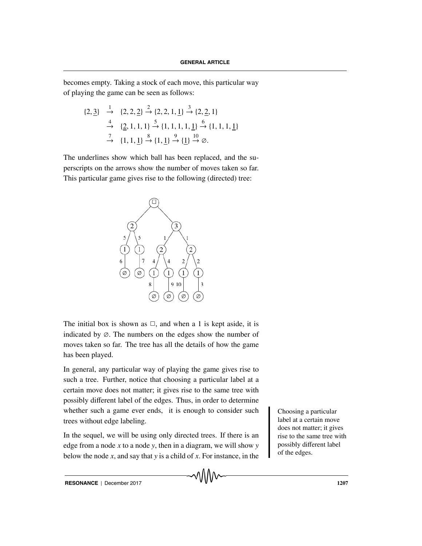becomes empty. Taking a stock of each move, this particular way of playing the game can be seen as follows:

$$
\{2, \underline{3}\} \xrightarrow{1} \{2, 2, \underline{2}\} \xrightarrow{2} \{2, 2, 1, \underline{1}\} \xrightarrow{3} \{2, \underline{2}, 1\}
$$
  
\n
$$
\xrightarrow{4} \{\underline{2}, 1, 1, 1\} \xrightarrow{5} \{1, 1, 1, 1, \underline{1}\} \xrightarrow{6} \{1, 1, 1, \underline{1}\}
$$
  
\n
$$
\xrightarrow{7} \{1, 1, \underline{1}\} \xrightarrow{8} \{1, \underline{1}\} \xrightarrow{9} \{\underline{1}\} \xrightarrow{10} \emptyset.
$$

The underlines show which ball has been replaced, and the superscripts on the arrows show the number of moves taken so far. This particular game gives rise to the following (directed) tree:



The initial box is shown as  $\Box$ , and when a 1 is kept aside, it is indicated by ∅. The numbers on the edges show the number of moves taken so far. The tree has all the details of how the game has been played.

In general, any particular way of playing the game gives rise to such a tree. Further, notice that choosing a particular label at a certain move does not matter; it gives rise to the same tree with possibly different label of the edges. Thus, in order to determine whether such a game ever ends, it is enough to consider such  $\Box$  Choosing a particular trees without edge labeling.

In the sequel, we will be using only directed trees. If there is an edge from a node *x* to a node *y*, then in a diagram, we will show *y* below the node *x*, and say that *y* is a child of *x*. For instance, in the

label at a certain move does not matter; it gives rise to the same tree with possibly different label of the edges.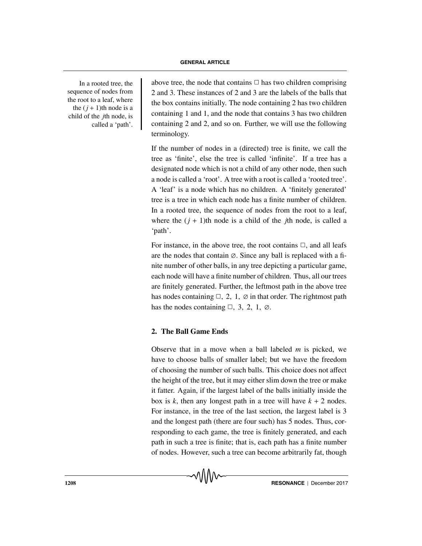In a rooted tree, the sequence of nodes from the root to a leaf, where the  $(i + 1)$ th node is a child of the *j*th node, is called a 'path'.

above tree, the node that contains  $\Box$  has two children comprising 2 and 3. These instances of 2 and 3 are the labels of the balls that the box contains initially. The node containing 2 has two children containing 1 and 1, and the node that contains 3 has two children containing 2 and 2, and so on. Further, we will use the following terminology.

If the number of nodes in a (directed) tree is finite, we call the tree as 'finite', else the tree is called 'infinite'. If a tree has a designated node which is not a child of any other node, then such a node is called a 'root'. A tree with a root is called a 'rooted tree'. A 'leaf' is a node which has no children. A 'finitely generated' tree is a tree in which each node has a finite number of children. In a rooted tree, the sequence of nodes from the root to a leaf, where the  $(j + 1)$ th node is a child of the *j*th node, is called a 'path'.

For instance, in the above tree, the root contains  $\Box$ , and all leafs are the nodes that contain  $\varnothing$ . Since any ball is replaced with a finite number of other balls, in any tree depicting a particular game, each node will have a finite number of children. Thus, all our trees are finitely generated. Further, the leftmost path in the above tree has nodes containing  $\Box$ , 2, 1,  $\emptyset$  in that order. The rightmost path has the nodes containing  $\Box$ , 3, 2, 1,  $\emptyset$ .

# **2. The Ball Game Ends**

Observe that in a move when a ball labeled *m* is picked, we have to choose balls of smaller label; but we have the freedom of choosing the number of such balls. This choice does not affect the height of the tree, but it may either slim down the tree or make it fatter. Again, if the largest label of the balls initially inside the box is  $k$ , then any longest path in a tree will have  $k + 2$  nodes. For instance, in the tree of the last section, the largest label is 3 and the longest path (there are four such) has 5 nodes. Thus, corresponding to each game, the tree is finitely generated, and each path in such a tree is finite; that is, each path has a finite number of nodes. However, such a tree can become arbitrarily fat, though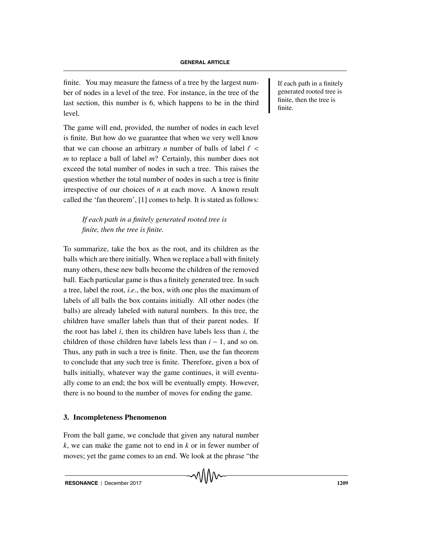finite. You may measure the fatness of a tree by the largest num-<br>If each path in a finitely ber of nodes in a level of the tree. For instance, in the tree of the last section, this number is 6, which happens to be in the third level.

The game will end, provided, the number of nodes in each level is finite. But how do we guarantee that when we very well know that we can choose an arbitrary *n* number of balls of label  $\ell$  < *m* to replace a ball of label *m*? Certainly, this number does not exceed the total number of nodes in such a tree. This raises the question whether the total number of nodes in such a tree is finite irrespective of our choices of *n* at each move. A known result called the 'fan theorem', [1] comes to help. It is stated as follows:

*If each path in a finitely generated rooted tree is finite, then the tree is finite.*

To summarize, take the box as the root, and its children as the balls which are there initially. When we replace a ball with finitely many others, these new balls become the children of the removed ball. Each particular game is thus a finitely generated tree. In such a tree, label the root, *i.e*., the box, with one plus the maximum of labels of all balls the box contains initially. All other nodes (the balls) are already labeled with natural numbers. In this tree, the children have smaller labels than that of their parent nodes. If the root has label *i*, then its children have labels less than *i*, the children of those children have labels less than *i* − 1, and so on. Thus, any path in such a tree is finite. Then, use the fan theorem to conclude that any such tree is finite. Therefore, given a box of balls initially, whatever way the game continues, it will eventually come to an end; the box will be eventually empty. However, there is no bound to the number of moves for ending the game.

# **3. Incompleteness Phenomenon**

From the ball game, we conclude that given any natural number *k*, we can make the game not to end in *k* or in fewer number of moves; yet the game comes to an end. We look at the phrase "the

generated rooted tree is finite, then the tree is finite.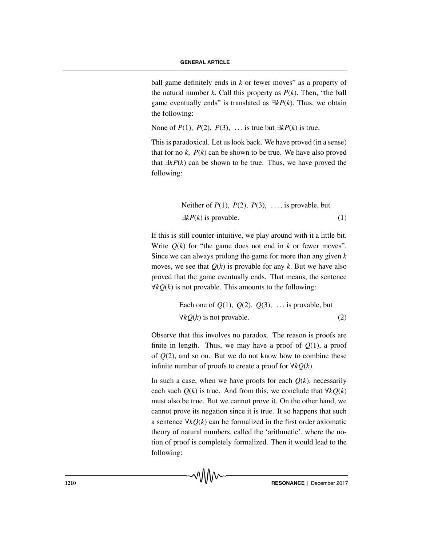ball game definitely ends in *k* or fewer moves" as a property of the natural number  $k$ . Call this property as  $P(k)$ . Then, "the ball game eventually ends" is translated as ∃*kP*(*k*). Thus, we obtain the following:

None of  $P(1)$ ,  $P(2)$ ,  $P(3)$ , ... is true but  $\exists k P(k)$  is true.

This is paradoxical. Let us look back. We have proved (in a sense) that for no  $k$ ,  $P(k)$  can be shown to be true. We have also proved that ∃*kP*(*k*) can be shown to be true. Thus, we have proved the following:

Neither of 
$$
P(1)
$$
,  $P(2)$ ,  $P(3)$ , ..., is provable, but  
 $\exists kP(k)$  is provable. (1)

If this is still counter-intuitive, we play around with it a little bit. Write  $Q(k)$  for "the game does not end in  $k$  or fewer moves". Since we can always prolong the game for more than any given *k* moves, we see that  $Q(k)$  is provable for any k. But we have also proved that the game eventually ends. That means, the sentence ∀*kQ*(*k*) is not provable. This amounts to the following:

Each one of 
$$
Q(1)
$$
,  $Q(2)$ ,  $Q(3)$ , ... is provable, but  
\n $\forall kQ(k)$  is not provable. (2)

Observe that this involves no paradox. The reason is proofs are finite in length. Thus, we may have a proof of  $Q(1)$ , a proof of *Q*(2), and so on. But we do not know how to combine these infinite number of proofs to create a proof for ∀*kQ*(*k*).

In such a case, when we have proofs for each  $Q(k)$ , necessarily each such  $Q(k)$  is true. And from this, we conclude that  $\forall k Q(k)$ must also be true. But we cannot prove it. On the other hand, we cannot prove its negation since it is true. It so happens that such a sentence ∀*kQ*(*k*) can be formalized in the first order axiomatic theory of natural numbers, called the 'arithmetic', where the notion of proof is completely formalized. Then it would lead to the following: